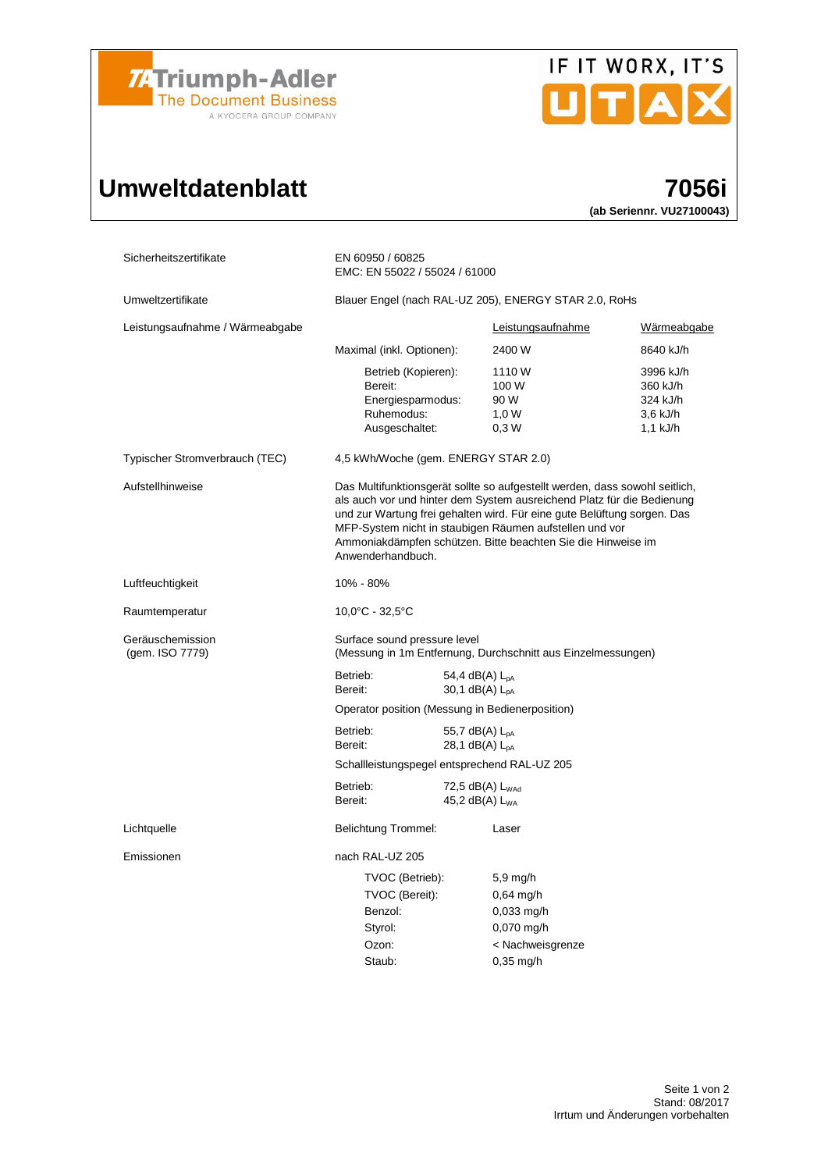

## Umweltdatenblatt 7056i



## (ab Seriennr. VU27100043)

| Sicherheitszertifikate              | EN 60950 / 60825<br>EMC: EN 55022 / 55024 / 61000                                                                                                                                                                                                                                                                                                                                |                                                 |                                                                                              |                                                             |  |  |
|-------------------------------------|----------------------------------------------------------------------------------------------------------------------------------------------------------------------------------------------------------------------------------------------------------------------------------------------------------------------------------------------------------------------------------|-------------------------------------------------|----------------------------------------------------------------------------------------------|-------------------------------------------------------------|--|--|
| Umweltzertifikate                   | Blauer Engel (nach RAL-UZ 205), ENERGY STAR 2.0, RoHs                                                                                                                                                                                                                                                                                                                            |                                                 |                                                                                              |                                                             |  |  |
| Leistungsaufnahme / Wärmeabgabe     |                                                                                                                                                                                                                                                                                                                                                                                  |                                                 | Leistungsaufnahme                                                                            | Wärmeabgabe                                                 |  |  |
|                                     | Maximal (inkl. Optionen):                                                                                                                                                                                                                                                                                                                                                        |                                                 | 2400 W                                                                                       | 8640 kJ/h                                                   |  |  |
|                                     | Betrieb (Kopieren):<br>Bereit:<br>Energiesparmodus:<br>Ruhemodus:<br>Ausgeschaltet:                                                                                                                                                                                                                                                                                              |                                                 | 1110W<br>100 W<br>90 W<br>1,0 W<br>0,3W                                                      | 3996 kJ/h<br>360 kJ/h<br>324 kJ/h<br>3,6 kJ/h<br>$1,1$ kJ/h |  |  |
| Typischer Stromverbrauch (TEC)      | 4,5 kWh/Woche (gem. ENERGY STAR 2.0)                                                                                                                                                                                                                                                                                                                                             |                                                 |                                                                                              |                                                             |  |  |
| Aufstellhinweise                    | Das Multifunktionsgerät sollte so aufgestellt werden, dass sowohl seitlich,<br>als auch vor und hinter dem System ausreichend Platz für die Bedienung<br>und zur Wartung frei gehalten wird. Für eine gute Belüftung sorgen. Das<br>MFP-System nicht in staubigen Räumen aufstellen und vor<br>Ammoniakdämpfen schützen. Bitte beachten Sie die Hinweise im<br>Anwenderhandbuch. |                                                 |                                                                                              |                                                             |  |  |
| Luftfeuchtigkeit                    | 10% - 80%                                                                                                                                                                                                                                                                                                                                                                        |                                                 |                                                                                              |                                                             |  |  |
| Raumtemperatur                      | 10,0°C - 32,5°C                                                                                                                                                                                                                                                                                                                                                                  |                                                 |                                                                                              |                                                             |  |  |
| Geräuschemission<br>(gem. ISO 7779) | Surface sound pressure level<br>(Messung in 1m Entfernung, Durchschnitt aus Einzelmessungen)                                                                                                                                                                                                                                                                                     |                                                 |                                                                                              |                                                             |  |  |
|                                     | Betrieb:<br>Bereit:                                                                                                                                                                                                                                                                                                                                                              | 54,4 dB(A) $L_{DA}$<br>30,1 $dB(A)$ $L_{DA}$    |                                                                                              |                                                             |  |  |
|                                     |                                                                                                                                                                                                                                                                                                                                                                                  | Operator position (Messung in Bedienerposition) |                                                                                              |                                                             |  |  |
|                                     | Betrieb:<br>Bereit:                                                                                                                                                                                                                                                                                                                                                              | 55,7 dB(A) $L_{DA}$<br>28,1 $dB(A)$ $L_{pA}$    |                                                                                              |                                                             |  |  |
|                                     | Schallleistungspegel entsprechend RAL-UZ 205                                                                                                                                                                                                                                                                                                                                     |                                                 |                                                                                              |                                                             |  |  |
|                                     | Betrieb:<br>Bereit:<br>45,2 $dB(A)$ L <sub>WA</sub>                                                                                                                                                                                                                                                                                                                              |                                                 | 72,5 dB(A) L <sub>WAd</sub>                                                                  |                                                             |  |  |
| Lichtquelle                         | Belichtung Trommel:                                                                                                                                                                                                                                                                                                                                                              |                                                 | Laser                                                                                        |                                                             |  |  |
| Emissionen                          | nach RAL-UZ 205                                                                                                                                                                                                                                                                                                                                                                  |                                                 |                                                                                              |                                                             |  |  |
|                                     | TVOC (Betrieb):<br>TVOC (Bereit):<br>Benzol:<br>Styrol:<br>Ozon:<br>Staub:                                                                                                                                                                                                                                                                                                       |                                                 | $5,9$ mg/h<br>$0,64$ mg/h<br>$0,033$ mg/h<br>$0,070$ mg/h<br>< Nachweisgrenze<br>$0,35$ mg/h |                                                             |  |  |